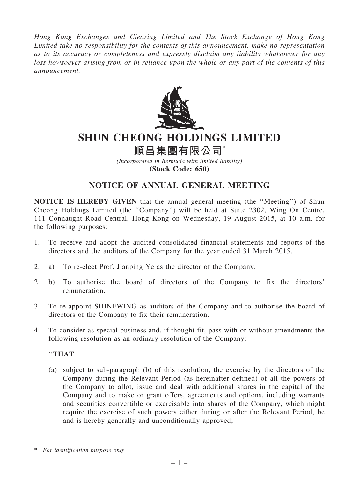*Hong Kong Exchanges and Clearing Limited and The Stock Exchange of Hong Kong Limited take no responsibility for the contents of this announcement, make no representation as to its accuracy or completeness and expressly disclaim any liability whatsoever for any loss howsoever arising from or in reliance upon the whole or any part of the contents of this announcement.*



# SHUN CHEONG HOLDINGS LIMITED

# 順昌集團有限公司

*(Incorporated in Bermuda with limited liability)* (Stock Code: 650)

## NOTICE OF ANNUAL GENERAL MEETING

NOTICE IS HEREBY GIVEN that the annual general meeting (the ''Meeting'') of Shun Cheong Holdings Limited (the ''Company'') will be held at Suite 2302, Wing On Centre, 111 Connaught Road Central, Hong Kong on Wednesday, 19 August 2015, at 10 a.m. for the following purposes:

- 1. To receive and adopt the audited consolidated financial statements and reports of the directors and the auditors of the Company for the year ended 31 March 2015.
- 2. a) To re-elect Prof. Jianping Ye as the director of the Company.
- 2. b) To authorise the board of directors of the Company to fix the directors' remuneration.
- 3. To re-appoint SHINEWING as auditors of the Company and to authorise the board of directors of the Company to fix their remuneration.
- 4. To consider as special business and, if thought fit, pass with or without amendments the following resolution as an ordinary resolution of the Company:

### ''THAT

(a) subject to sub-paragraph (b) of this resolution, the exercise by the directors of the Company during the Relevant Period (as hereinafter defined) of all the powers of the Company to allot, issue and deal with additional shares in the capital of the Company and to make or grant offers, agreements and options, including warrants and securities convertible or exercisable into shares of the Company, which might require the exercise of such powers either during or after the Relevant Period, be and is hereby generally and unconditionally approved;

<sup>\*</sup> *For identification purpose only*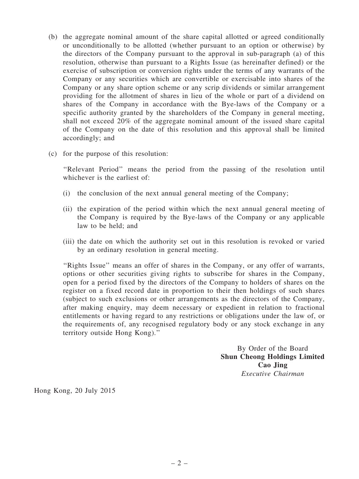- (b) the aggregate nominal amount of the share capital allotted or agreed conditionally or unconditionally to be allotted (whether pursuant to an option or otherwise) by the directors of the Company pursuant to the approval in sub-paragraph (a) of this resolution, otherwise than pursuant to a Rights Issue (as hereinafter defined) or the exercise of subscription or conversion rights under the terms of any warrants of the Company or any securities which are convertible or exercisable into shares of the Company or any share option scheme or any scrip dividends or similar arrangement providing for the allotment of shares in lieu of the whole or part of a dividend on shares of the Company in accordance with the Bye-laws of the Company or a specific authority granted by the shareholders of the Company in general meeting, shall not exceed 20% of the aggregate nominal amount of the issued share capital of the Company on the date of this resolution and this approval shall be limited accordingly; and
- (c) for the purpose of this resolution:

''Relevant Period'' means the period from the passing of the resolution until whichever is the earliest of:

- (i) the conclusion of the next annual general meeting of the Company;
- (ii) the expiration of the period within which the next annual general meeting of the Company is required by the Bye-laws of the Company or any applicable law to be held; and
- (iii) the date on which the authority set out in this resolution is revoked or varied by an ordinary resolution in general meeting.

''Rights Issue'' means an offer of shares in the Company, or any offer of warrants, options or other securities giving rights to subscribe for shares in the Company, open for a period fixed by the directors of the Company to holders of shares on the register on a fixed record date in proportion to their then holdings of such shares (subject to such exclusions or other arrangements as the directors of the Company, after making enquiry, may deem necessary or expedient in relation to fractional entitlements or having regard to any restrictions or obligations under the law of, or the requirements of, any recognised regulatory body or any stock exchange in any territory outside Hong Kong).''

> By Order of the Board Shun Cheong Holdings Limited Cao Jing *Executive Chairman*

Hong Kong, 20 July 2015